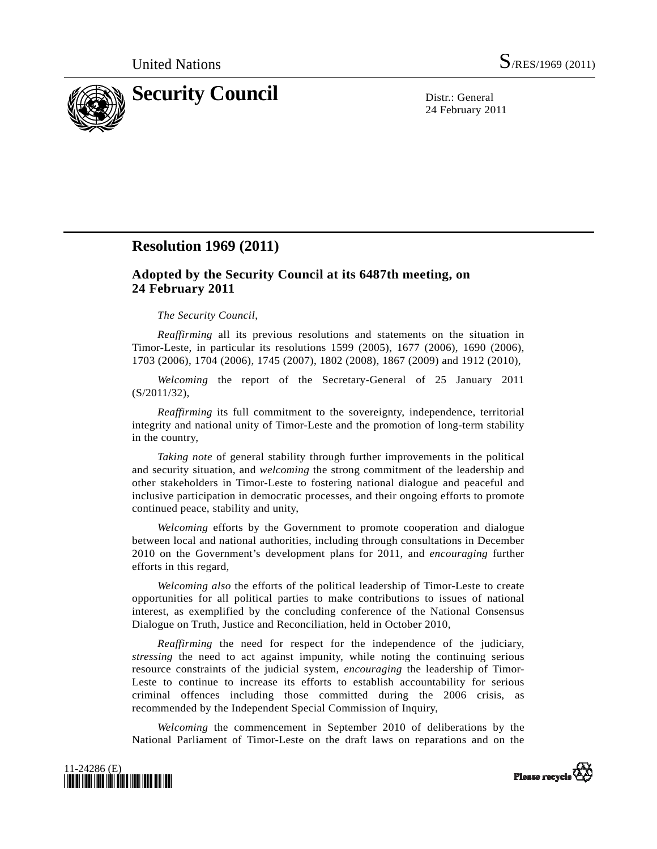

24 February 2011

## **Resolution 1969 (2011)**

## **Adopted by the Security Council at its 6487th meeting, on 24 February 2011**

## *The Security Council*,

*Reaffirming* all its previous resolutions and statements on the situation in Timor-Leste, in particular its resolutions 1599 (2005), 1677 (2006), 1690 (2006), 1703 (2006), 1704 (2006), 1745 (2007), 1802 (2008), 1867 (2009) and 1912 (2010),

*Welcoming* the report of the Secretary-General of 25 January 2011 (S/2011/32),

*Reaffirming* its full commitment to the sovereignty, independence, territorial integrity and national unity of Timor-Leste and the promotion of long-term stability in the country,

*Taking note* of general stability through further improvements in the political and security situation, and *welcoming* the strong commitment of the leadership and other stakeholders in Timor-Leste to fostering national dialogue and peaceful and inclusive participation in democratic processes, and their ongoing efforts to promote continued peace, stability and unity,

*Welcoming* efforts by the Government to promote cooperation and dialogue between local and national authorities, including through consultations in December 2010 on the Government's development plans for 2011, and *encouraging* further efforts in this regard,

*Welcoming also* the efforts of the political leadership of Timor-Leste to create opportunities for all political parties to make contributions to issues of national interest, as exemplified by the concluding conference of the National Consensus Dialogue on Truth, Justice and Reconciliation, held in October 2010,

*Reaffirming* the need for respect for the independence of the judiciary, *stressing* the need to act against impunity, while noting the continuing serious resource constraints of the judicial system, *encouraging* the leadership of Timor-Leste to continue to increase its efforts to establish accountability for serious criminal offences including those committed during the 2006 crisis, as recommended by the Independent Special Commission of Inquiry,

*Welcoming* the commencement in September 2010 of deliberations by the National Parliament of Timor-Leste on the draft laws on reparations and on the



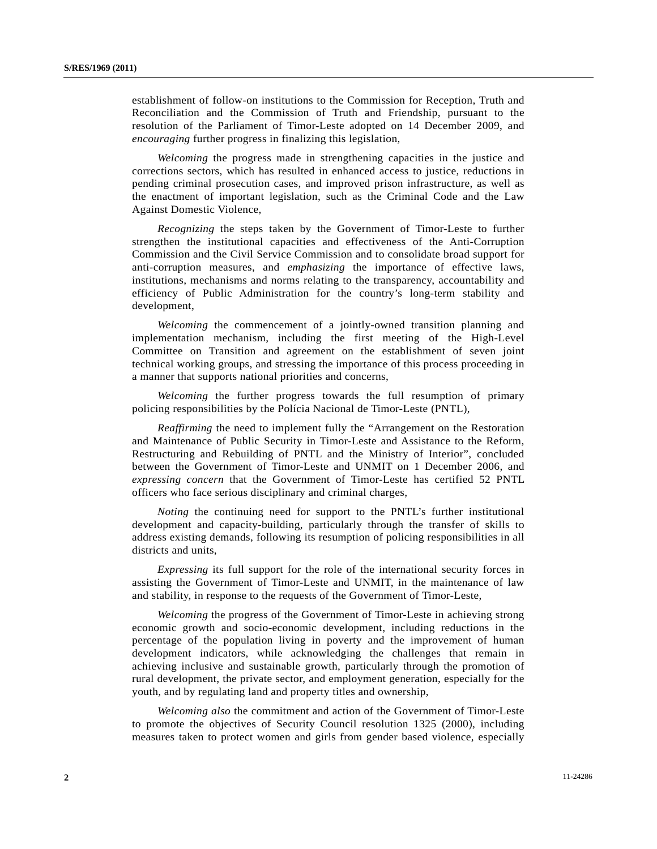establishment of follow-on institutions to the Commission for Reception, Truth and Reconciliation and the Commission of Truth and Friendship, pursuant to the resolution of the Parliament of Timor-Leste adopted on 14 December 2009, and *encouraging* further progress in finalizing this legislation,

*Welcoming* the progress made in strengthening capacities in the justice and corrections sectors, which has resulted in enhanced access to justice, reductions in pending criminal prosecution cases, and improved prison infrastructure, as well as the enactment of important legislation, such as the Criminal Code and the Law Against Domestic Violence,

*Recognizing* the steps taken by the Government of Timor-Leste to further strengthen the institutional capacities and effectiveness of the Anti-Corruption Commission and the Civil Service Commission and to consolidate broad support for anti-corruption measures, and *emphasizing* the importance of effective laws, institutions, mechanisms and norms relating to the transparency, accountability and efficiency of Public Administration for the country's long-term stability and development,

*Welcoming* the commencement of a jointly-owned transition planning and implementation mechanism, including the first meeting of the High-Level Committee on Transition and agreement on the establishment of seven joint technical working groups, and stressing the importance of this process proceeding in a manner that supports national priorities and concerns,

*Welcoming* the further progress towards the full resumption of primary policing responsibilities by the Polícia Nacional de Timor-Leste (PNTL),

*Reaffirming* the need to implement fully the "Arrangement on the Restoration and Maintenance of Public Security in Timor-Leste and Assistance to the Reform, Restructuring and Rebuilding of PNTL and the Ministry of Interior", concluded between the Government of Timor-Leste and UNMIT on 1 December 2006, and *expressing concern* that the Government of Timor-Leste has certified 52 PNTL officers who face serious disciplinary and criminal charges,

*Noting* the continuing need for support to the PNTL's further institutional development and capacity-building, particularly through the transfer of skills to address existing demands, following its resumption of policing responsibilities in all districts and units,

*Expressing* its full support for the role of the international security forces in assisting the Government of Timor-Leste and UNMIT, in the maintenance of law and stability, in response to the requests of the Government of Timor-Leste,

*Welcoming* the progress of the Government of Timor-Leste in achieving strong economic growth and socio-economic development, including reductions in the percentage of the population living in poverty and the improvement of human development indicators, while acknowledging the challenges that remain in achieving inclusive and sustainable growth, particularly through the promotion of rural development, the private sector, and employment generation, especially for the youth, and by regulating land and property titles and ownership,

*Welcoming also* the commitment and action of the Government of Timor-Leste to promote the objectives of Security Council resolution 1325 (2000), including measures taken to protect women and girls from gender based violence, especially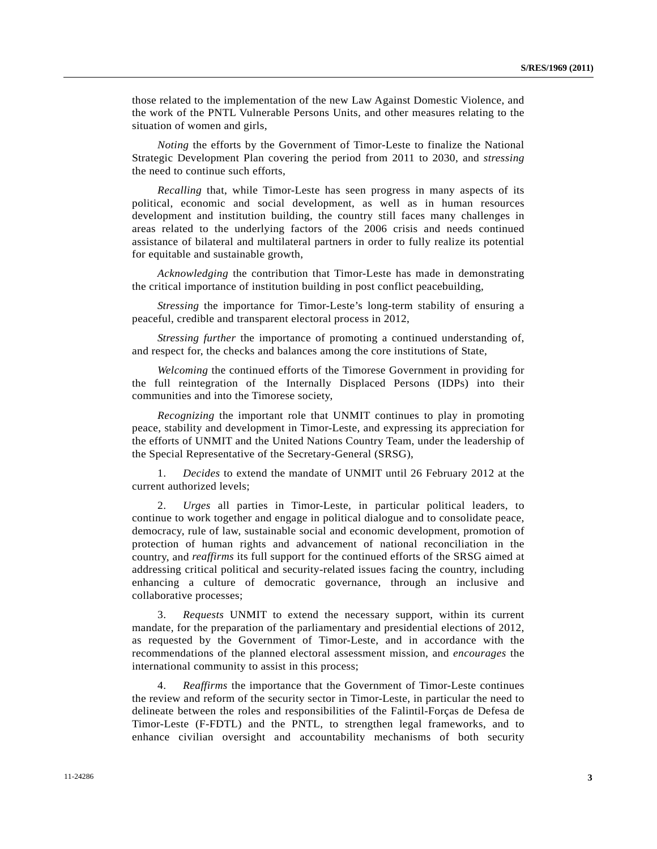those related to the implementation of the new Law Against Domestic Violence, and the work of the PNTL Vulnerable Persons Units, and other measures relating to the situation of women and girls,

*Noting* the efforts by the Government of Timor-Leste to finalize the National Strategic Development Plan covering the period from 2011 to 2030, and *stressing* the need to continue such efforts,

*Recalling* that, while Timor-Leste has seen progress in many aspects of its political, economic and social development, as well as in human resources development and institution building, the country still faces many challenges in areas related to the underlying factors of the 2006 crisis and needs continued assistance of bilateral and multilateral partners in order to fully realize its potential for equitable and sustainable growth,

*Acknowledging* the contribution that Timor-Leste has made in demonstrating the critical importance of institution building in post conflict peacebuilding,

*Stressing* the importance for Timor-Leste's long-term stability of ensuring a peaceful, credible and transparent electoral process in 2012,

*Stressing further* the importance of promoting a continued understanding of, and respect for, the checks and balances among the core institutions of State,

*Welcoming* the continued efforts of the Timorese Government in providing for the full reintegration of the Internally Displaced Persons (IDPs) into their communities and into the Timorese society,

*Recognizing* the important role that UNMIT continues to play in promoting peace, stability and development in Timor-Leste, and expressing its appreciation for the efforts of UNMIT and the United Nations Country Team, under the leadership of the Special Representative of the Secretary-General (SRSG),

 1. *Decides* to extend the mandate of UNMIT until 26 February 2012 at the current authorized levels;

 2. *Urges* all parties in Timor-Leste, in particular political leaders, to continue to work together and engage in political dialogue and to consolidate peace, democracy, rule of law, sustainable social and economic development, promotion of protection of human rights and advancement of national reconciliation in the country, and *reaffirms* its full support for the continued efforts of the SRSG aimed at addressing critical political and security-related issues facing the country, including enhancing a culture of democratic governance, through an inclusive and collaborative processes;

 3. *Requests* UNMIT to extend the necessary support, within its current mandate, for the preparation of the parliamentary and presidential elections of 2012, as requested by the Government of Timor-Leste, and in accordance with the recommendations of the planned electoral assessment mission, and *encourages* the international community to assist in this process;

 4. *Reaffirms* the importance that the Government of Timor-Leste continues the review and reform of the security sector in Timor-Leste, in particular the need to delineate between the roles and responsibilities of the Falintil-Forças de Defesa de Timor-Leste (F-FDTL) and the PNTL, to strengthen legal frameworks, and to enhance civilian oversight and accountability mechanisms of both security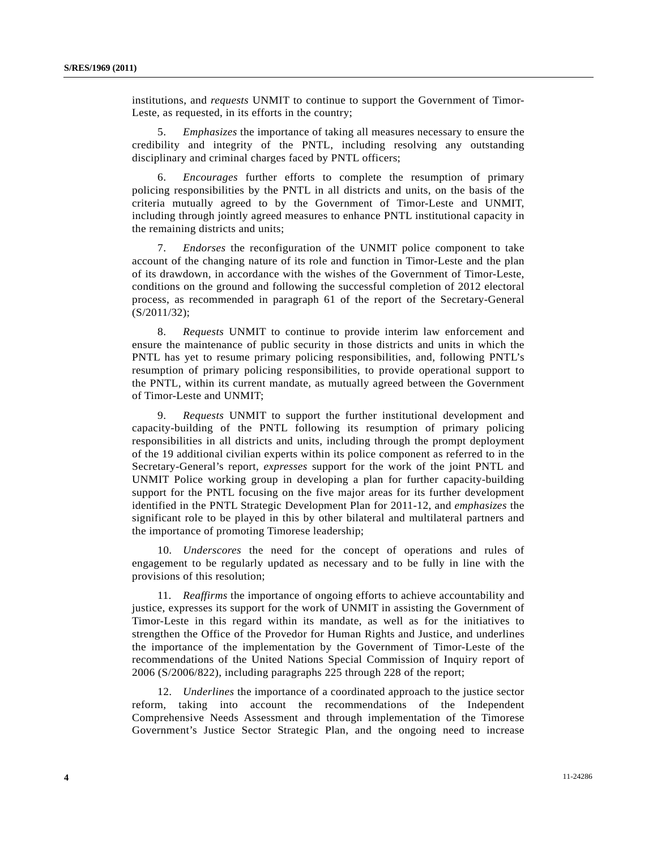institutions, and *requests* UNMIT to continue to support the Government of Timor-Leste, as requested, in its efforts in the country;

 5. *Emphasizes* the importance of taking all measures necessary to ensure the credibility and integrity of the PNTL, including resolving any outstanding disciplinary and criminal charges faced by PNTL officers;

 6. *Encourages* further efforts to complete the resumption of primary policing responsibilities by the PNTL in all districts and units, on the basis of the criteria mutually agreed to by the Government of Timor-Leste and UNMIT, including through jointly agreed measures to enhance PNTL institutional capacity in the remaining districts and units;

 7. *Endorses* the reconfiguration of the UNMIT police component to take account of the changing nature of its role and function in Timor-Leste and the plan of its drawdown, in accordance with the wishes of the Government of Timor-Leste, conditions on the ground and following the successful completion of 2012 electoral process, as recommended in paragraph 61 of the report of the Secretary-General (S/2011/32);

 8. *Requests* UNMIT to continue to provide interim law enforcement and ensure the maintenance of public security in those districts and units in which the PNTL has yet to resume primary policing responsibilities, and, following PNTL's resumption of primary policing responsibilities, to provide operational support to the PNTL, within its current mandate, as mutually agreed between the Government of Timor-Leste and UNMIT;

 9. *Requests* UNMIT to support the further institutional development and capacity-building of the PNTL following its resumption of primary policing responsibilities in all districts and units, including through the prompt deployment of the 19 additional civilian experts within its police component as referred to in the Secretary-General's report, *expresses* support for the work of the joint PNTL and UNMIT Police working group in developing a plan for further capacity-building support for the PNTL focusing on the five major areas for its further development identified in the PNTL Strategic Development Plan for 2011-12, and *emphasizes* the significant role to be played in this by other bilateral and multilateral partners and the importance of promoting Timorese leadership;

 10. *Underscores* the need for the concept of operations and rules of engagement to be regularly updated as necessary and to be fully in line with the provisions of this resolution;

 11. *Reaffirms* the importance of ongoing efforts to achieve accountability and justice, expresses its support for the work of UNMIT in assisting the Government of Timor-Leste in this regard within its mandate, as well as for the initiatives to strengthen the Office of the Provedor for Human Rights and Justice, and underlines the importance of the implementation by the Government of Timor-Leste of the recommendations of the United Nations Special Commission of Inquiry report of 2006 (S/2006/822), including paragraphs 225 through 228 of the report;

 12. *Underlines* the importance of a coordinated approach to the justice sector reform, taking into account the recommendations of the Independent Comprehensive Needs Assessment and through implementation of the Timorese Government's Justice Sector Strategic Plan, and the ongoing need to increase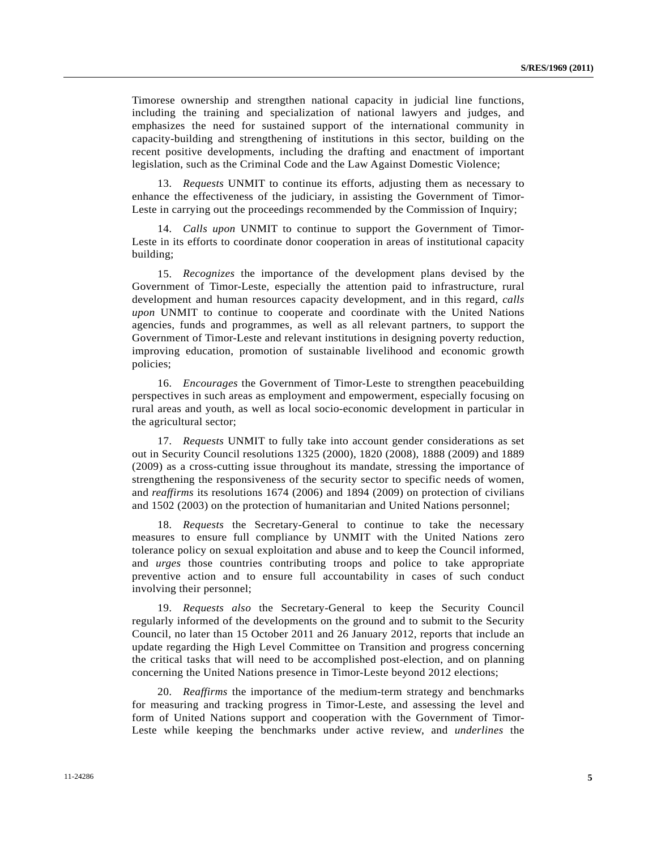Timorese ownership and strengthen national capacity in judicial line functions, including the training and specialization of national lawyers and judges, and emphasizes the need for sustained support of the international community in capacity-building and strengthening of institutions in this sector, building on the recent positive developments, including the drafting and enactment of important legislation, such as the Criminal Code and the Law Against Domestic Violence;

 13. *Requests* UNMIT to continue its efforts, adjusting them as necessary to enhance the effectiveness of the judiciary, in assisting the Government of Timor-Leste in carrying out the proceedings recommended by the Commission of Inquiry;

 14. *Calls upon* UNMIT to continue to support the Government of Timor-Leste in its efforts to coordinate donor cooperation in areas of institutional capacity building;

 15. *Recognizes* the importance of the development plans devised by the Government of Timor-Leste, especially the attention paid to infrastructure, rural development and human resources capacity development, and in this regard, *calls upon* UNMIT to continue to cooperate and coordinate with the United Nations agencies, funds and programmes, as well as all relevant partners, to support the Government of Timor-Leste and relevant institutions in designing poverty reduction, improving education, promotion of sustainable livelihood and economic growth policies;

 16. *Encourages* the Government of Timor-Leste to strengthen peacebuilding perspectives in such areas as employment and empowerment, especially focusing on rural areas and youth, as well as local socio-economic development in particular in the agricultural sector;

 17. *Requests* UNMIT to fully take into account gender considerations as set out in Security Council resolutions 1325 (2000), 1820 (2008), 1888 (2009) and 1889 (2009) as a cross-cutting issue throughout its mandate, stressing the importance of strengthening the responsiveness of the security sector to specific needs of women, and *reaffirms* its resolutions 1674 (2006) and 1894 (2009) on protection of civilians and 1502 (2003) on the protection of humanitarian and United Nations personnel;

 18. *Requests* the Secretary-General to continue to take the necessary measures to ensure full compliance by UNMIT with the United Nations zero tolerance policy on sexual exploitation and abuse and to keep the Council informed, and *urges* those countries contributing troops and police to take appropriate preventive action and to ensure full accountability in cases of such conduct involving their personnel;

 19. *Requests also* the Secretary-General to keep the Security Council regularly informed of the developments on the ground and to submit to the Security Council, no later than 15 October 2011 and 26 January 2012, reports that include an update regarding the High Level Committee on Transition and progress concerning the critical tasks that will need to be accomplished post-election, and on planning concerning the United Nations presence in Timor-Leste beyond 2012 elections;

 20. *Reaffirms* the importance of the medium-term strategy and benchmarks for measuring and tracking progress in Timor-Leste, and assessing the level and form of United Nations support and cooperation with the Government of Timor-Leste while keeping the benchmarks under active review, and *underlines* the